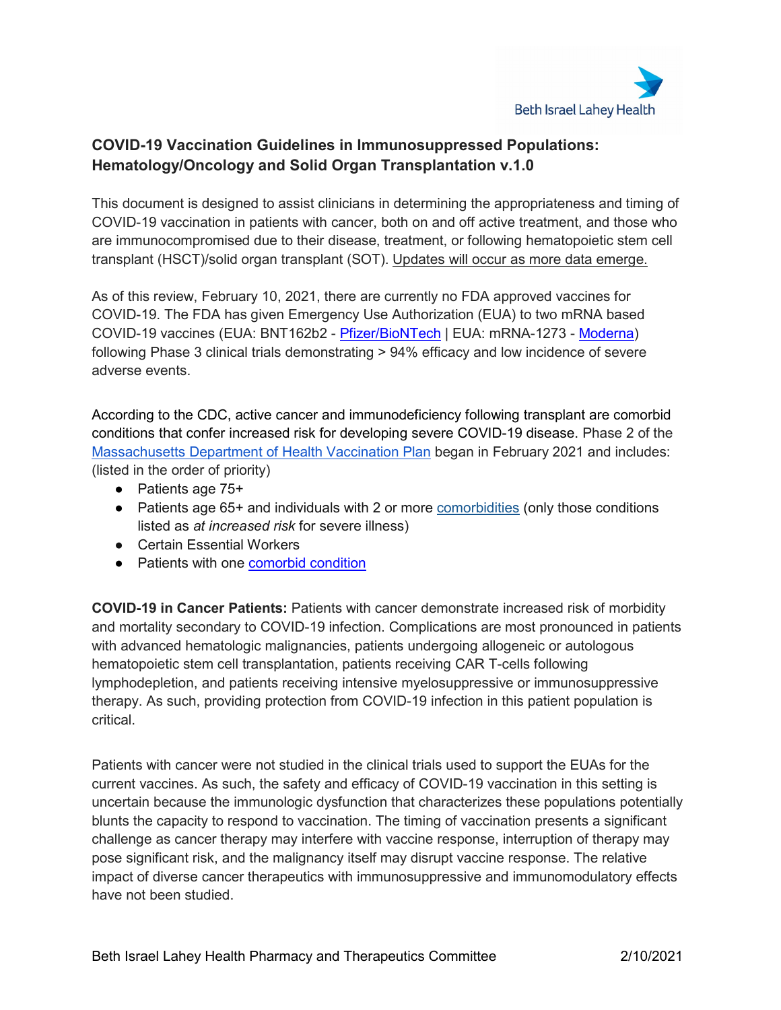

## **COVID-19 Vaccination Guidelines in Immunosuppressed Populations: Hematology/Oncology and Solid Organ Transplantation v.1.0**

This document is designed to assist clinicians in determining the appropriateness and timing of COVID-19 vaccination in patients with cancer, both on and off active treatment, and those who are immunocompromised due to their disease, treatment, or following hematopoietic stem cell transplant (HSCT)/solid organ transplant (SOT). Updates will occur as more data emerge.

As of this review, February 10, 2021, there are currently no FDA approved vaccines for COVID-19. The FDA has given Emergency Use Authorization (EUA) to two mRNA based COVID-19 vaccines (EUA: BNT162b2 - [Pfizer/BioNTech](https://www.fda.gov/media/144414/download) | EUA: mRNA-1273 - [Moderna\)](https://www.fda.gov/media/144638/download) following Phase 3 clinical trials demonstrating > 94% efficacy and low incidence of severe adverse events.

According to the CDC, active cancer and immunodeficiency following transplant are comorbid conditions that confer increased risk for developing severe COVID-19 disease. Phase 2 of the [Massachusetts Department of Health Vaccination Plan](https://www.mass.gov/info-details/massachusetts-covid-19-vaccination-phases) began in February 2021 and includes: (listed in the order of priority)

- Patients age 75+
- Patients age 65+ and individuals with 2 or more [comorbidities](https://www.cdc.gov/coronavirus/2019-ncov/need-extra-precautions/people-with-medical-conditions.html) (only those conditions listed as *at increased risk* for severe illness)
- Certain Essential Workers
- Patients with one **comorbid condition**

**COVID-19 in Cancer Patients:** Patients with cancer demonstrate increased risk of morbidity and mortality secondary to COVID-19 infection. Complications are most pronounced in patients with advanced hematologic malignancies, patients undergoing allogeneic or autologous hematopoietic stem cell transplantation, patients receiving CAR T-cells following lymphodepletion, and patients receiving intensive myelosuppressive or immunosuppressive therapy. As such, providing protection from COVID-19 infection in this patient population is critical.

Patients with cancer were not studied in the clinical trials used to support the EUAs for the current vaccines. As such, the safety and efficacy of COVID-19 vaccination in this setting is uncertain because the immunologic dysfunction that characterizes these populations potentially blunts the capacity to respond to vaccination. The timing of vaccination presents a significant challenge as cancer therapy may interfere with vaccine response, interruption of therapy may pose significant risk, and the malignancy itself may disrupt vaccine response. The relative impact of diverse cancer therapeutics with immunosuppressive and immunomodulatory effects have not been studied.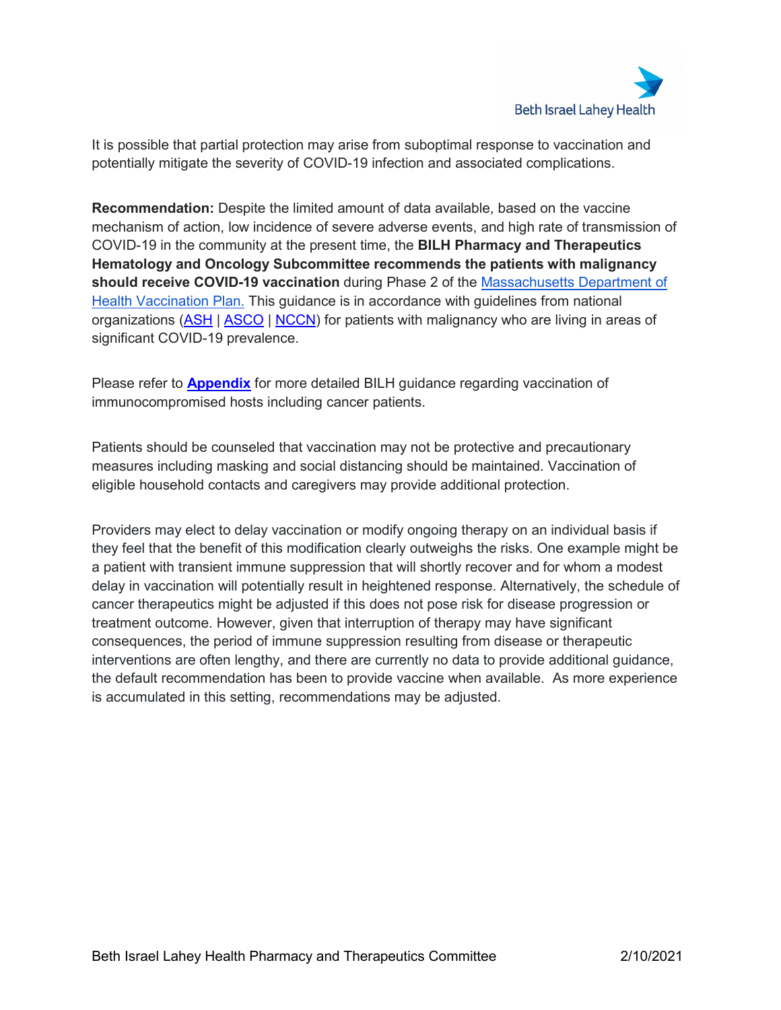

It is possible that partial protection may arise from suboptimal response to vaccination and potentially mitigate the severity of COVID-19 infection and associated complications.

**Recommendation:** Despite the limited amount of data available, based on the vaccine mechanism of action, low incidence of severe adverse events, and high rate of transmission of COVID-19 in the community at the present time, the **BILH Pharmacy and Therapeutics Hematology and Oncology Subcommittee recommends the patients with malignancy should receive COVID-19 vaccination** during Phase 2 of the [Massachusetts Department of](https://www.mass.gov/info-details/massachusetts-covid-19-vaccination-phases)  [Health Vaccination Plan.](https://www.mass.gov/info-details/massachusetts-covid-19-vaccination-phases) This guidance is in accordance with guidelines from national organizations [\(ASH](https://www.hematology.org/covid-19/ash-astct-covid-19-and-vaccines) | [ASCO](https://urldefense.proofpoint.com/v2/url?u=https-3A__www.asco.org_asco-2Dcoronavirus-2Dresources_covid-2D19-2Dpatient-2Dcare-2Dinformation_covid-2D19-2Dvaccine-2Dpatients-2Dcancer&d=DwIGaQ&c=xJjaW4UVIuGkaC9EgJPIQA&r=q8_YRWsq0qIRnjn-k_EY6A&m=eTvlSGGJtv06HCcQzCh5XMkdCDp-e0mIimrb-kYq1RI&s=d0JEspGvLK1yHmKndpay2IozUI_NYtOEMlhW8uS64lw&e=%20%3chttps://urldefense.com/v3/__https:/www.asco.org/asco-coronavirus-resources/covid-19-patient-care-information/covid-19-vaccine-patients-cancer__;!!CvMGjuU!smyiBK0ieGFrYzh132IONQHetQAeKln96WZfRw2FLvPUbI13-DvaAADjLROfW92ZPRe_BiY$%3e) | [NCCN\)](https://urldefense.proofpoint.com/v2/url?u=https-3A__www.nccn.org_covid-2D19_pdf_COVID-2D19-5FVaccination-5FGuidance-5FV1.0.pdf&d=DwIGaQ&c=xJjaW4UVIuGkaC9EgJPIQA&r=q8_YRWsq0qIRnjn-k_EY6A&m=eTvlSGGJtv06HCcQzCh5XMkdCDp-e0mIimrb-kYq1RI&s=pZ6eAidpQ7JiwGfuCnjWgTcnFCXYpUgHbcsfxRs7l8k&e=) for patients with malignancy who are living in areas of significant COVID-19 prevalence.

Please refer to **[Appendix](#page-3-0)** for more detailed BILH guidance regarding vaccination of immunocompromised hosts including cancer patients.

Patients should be counseled that vaccination may not be protective and precautionary measures including masking and social distancing should be maintained. Vaccination of eligible household contacts and caregivers may provide additional protection.

Providers may elect to delay vaccination or modify ongoing therapy on an individual basis if they feel that the benefit of this modification clearly outweighs the risks. One example might be a patient with transient immune suppression that will shortly recover and for whom a modest delay in vaccination will potentially result in heightened response. Alternatively, the schedule of cancer therapeutics might be adjusted if this does not pose risk for disease progression or treatment outcome. However, given that interruption of therapy may have significant consequences, the period of immune suppression resulting from disease or therapeutic interventions are often lengthy, and there are currently no data to provide additional guidance, the default recommendation has been to provide vaccine when available. As more experience is accumulated in this setting, recommendations may be adjusted.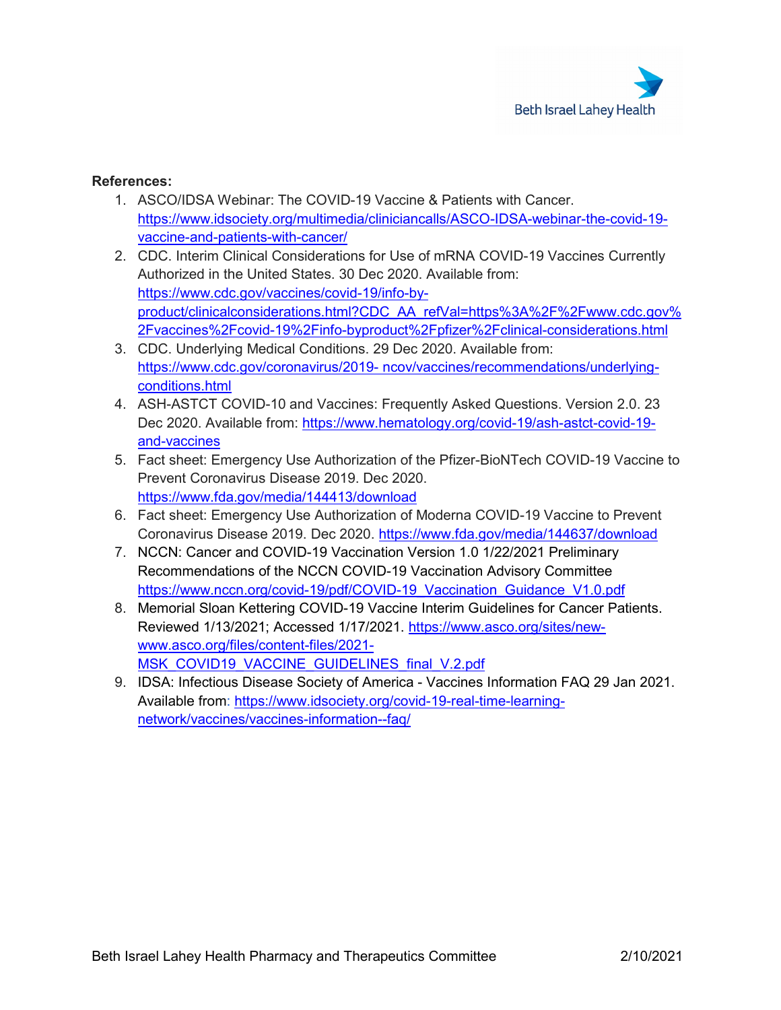

## **References:**

- 1. ASCO/IDSA Webinar: The COVID-19 Vaccine & Patients with Cancer. [https://www.idsociety.org/multimedia/cliniciancalls/ASCO-IDSA-webinar-the-covid-19](https://www.idsociety.org/multimedia/cliniciancalls/ASCO-IDSA-webinar-the-covid-19-vaccine-and-patients-with-cancer/) [vaccine-and-patients-with-cancer/](https://www.idsociety.org/multimedia/cliniciancalls/ASCO-IDSA-webinar-the-covid-19-vaccine-and-patients-with-cancer/)
- 2. CDC. Interim Clinical Considerations for Use of mRNA COVID-19 Vaccines Currently Authorized in the United States. 30 Dec 2020. Available from: [https://www.cdc.gov/vaccines/covid-19/info-by](https://www.cdc.gov/vaccines/covid-19/info-by-product/clinicalconsiderations.html?CDC_AA_refVal=https%3A%2F%2Fwww.cdc.gov%2Fvaccines%2Fcovid-19%2Finfo-byproduct%2Fpfizer%2Fclinical-considerations.html)[product/clinicalconsiderations.html?CDC\\_AA\\_refVal=https%3A%2F%2Fwww.cdc.gov%](https://www.cdc.gov/vaccines/covid-19/info-by-product/clinicalconsiderations.html?CDC_AA_refVal=https%3A%2F%2Fwww.cdc.gov%2Fvaccines%2Fcovid-19%2Finfo-byproduct%2Fpfizer%2Fclinical-considerations.html) [2Fvaccines%2Fcovid-19%2Finfo-byproduct%2Fpfizer%2Fclinical-considerations.html](https://www.cdc.gov/vaccines/covid-19/info-by-product/clinicalconsiderations.html?CDC_AA_refVal=https%3A%2F%2Fwww.cdc.gov%2Fvaccines%2Fcovid-19%2Finfo-byproduct%2Fpfizer%2Fclinical-considerations.html)
- 3. CDC. Underlying Medical Conditions. 29 Dec 2020. Available from: https://www.cdc.gov/coronavirus/2019- [ncov/vaccines/recommendations/underlying](https://www.cdc.gov/coronavirus/2019-%20ncov/vaccines/recommendations/underlying-conditions.html)[conditions.html](https://www.cdc.gov/coronavirus/2019-%20ncov/vaccines/recommendations/underlying-conditions.html)
- 4. ASH-ASTCT COVID-10 and Vaccines: Frequently Asked Questions. Version 2.0. 23 Dec 2020. Available from: [https://www.hematology.org/covid-19/ash-astct-covid-19](https://www.hematology.org/covid-19/ash-astct-covid-19-and-vaccines) [and-vaccines](https://www.hematology.org/covid-19/ash-astct-covid-19-and-vaccines)
- 5. Fact sheet: Emergency Use Authorization of the Pfizer-BioNTech COVID-19 Vaccine to Prevent Coronavirus Disease 2019. Dec 2020. <https://www.fda.gov/media/144413/download>
- 6. Fact sheet: Emergency Use Authorization of Moderna COVID-19 Vaccine to Prevent Coronavirus Disease 2019. Dec 2020.<https://www.fda.gov/media/144637/download>
- 7. NCCN: Cancer and COVID-19 Vaccination Version 1.0 1/22/2021 Preliminary Recommendations of the NCCN COVID-19 Vaccination Advisory Committee [https://www.nccn.org/covid-19/pdf/COVID-19\\_Vaccination\\_Guidance\\_V1.0.pdf](https://www.nccn.org/covid-19/pdf/COVID-19_Vaccination_Guidance_V1.0.pdf)
- 8. Memorial Sloan Kettering COVID-19 Vaccine Interim Guidelines for Cancer Patients. Reviewed 1/13/2021; Accessed 1/17/2021. [https://www.asco.org/sites/new](https://www.asco.org/sites/new-www.asco.org/files/content-files/2021-MSK_COVID19_VACCINE_GUIDELINES_final_V.2.pdf)[www.asco.org/files/content-files/2021-](https://www.asco.org/sites/new-www.asco.org/files/content-files/2021-MSK_COVID19_VACCINE_GUIDELINES_final_V.2.pdf) [MSK\\_COVID19\\_VACCINE\\_GUIDELINES\\_final\\_V.2.pdf](https://www.asco.org/sites/new-www.asco.org/files/content-files/2021-MSK_COVID19_VACCINE_GUIDELINES_final_V.2.pdf)
- 9. IDSA: Infectious Disease Society of America Vaccines Information FAQ 29 Jan 2021. Available from: [https://www.idsociety.org/covid-19-real-time-learning](https://www.idsociety.org/covid-19-real-time-learning-network/vaccines/vaccines-information--faq/)[network/vaccines/vaccines-information--faq/](https://www.idsociety.org/covid-19-real-time-learning-network/vaccines/vaccines-information--faq/)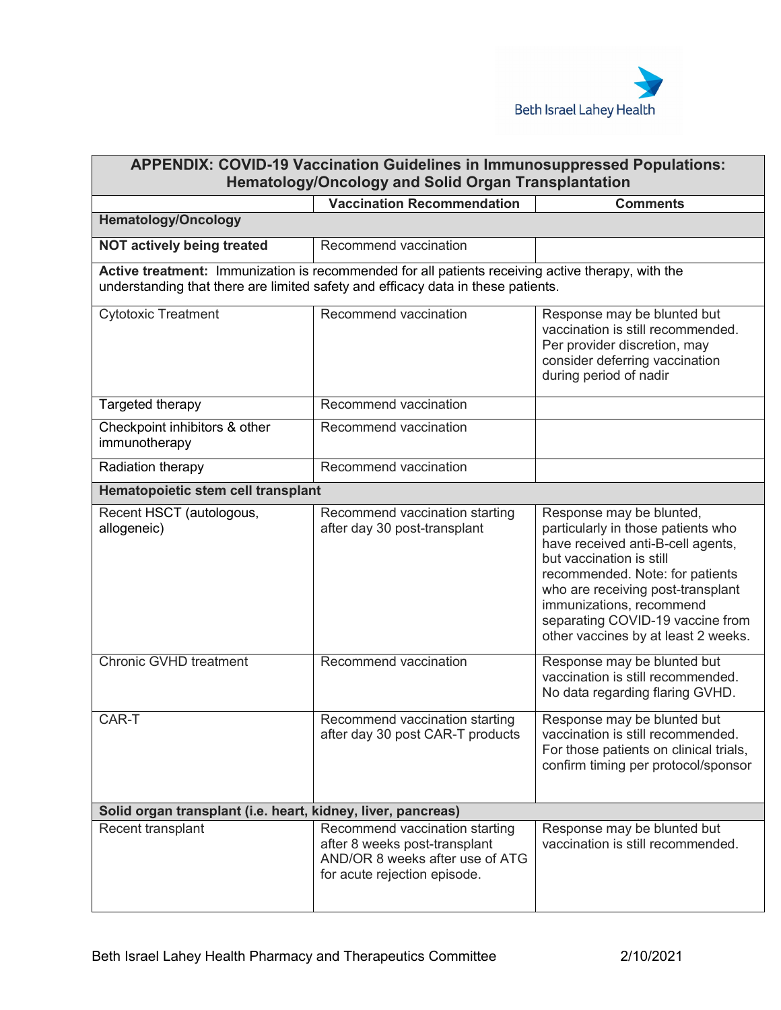

<span id="page-3-0"></span>

| <b>APPENDIX: COVID-19 Vaccination Guidelines in Immunosuppressed Populations:</b><br><b>Hematology/Oncology and Solid Organ Transplantation</b>                                       |                                                                                                                                    |                                                                                                                                                                                                                                                                                                                |  |  |
|---------------------------------------------------------------------------------------------------------------------------------------------------------------------------------------|------------------------------------------------------------------------------------------------------------------------------------|----------------------------------------------------------------------------------------------------------------------------------------------------------------------------------------------------------------------------------------------------------------------------------------------------------------|--|--|
|                                                                                                                                                                                       | <b>Vaccination Recommendation</b>                                                                                                  | <b>Comments</b>                                                                                                                                                                                                                                                                                                |  |  |
| <b>Hematology/Oncology</b>                                                                                                                                                            |                                                                                                                                    |                                                                                                                                                                                                                                                                                                                |  |  |
| <b>NOT actively being treated</b>                                                                                                                                                     | Recommend vaccination                                                                                                              |                                                                                                                                                                                                                                                                                                                |  |  |
| Active treatment: Immunization is recommended for all patients receiving active therapy, with the<br>understanding that there are limited safety and efficacy data in these patients. |                                                                                                                                    |                                                                                                                                                                                                                                                                                                                |  |  |
| <b>Cytotoxic Treatment</b>                                                                                                                                                            | Recommend vaccination                                                                                                              | Response may be blunted but<br>vaccination is still recommended.<br>Per provider discretion, may<br>consider deferring vaccination<br>during period of nadir                                                                                                                                                   |  |  |
| Targeted therapy                                                                                                                                                                      | Recommend vaccination                                                                                                              |                                                                                                                                                                                                                                                                                                                |  |  |
| Checkpoint inhibitors & other<br>immunotherapy                                                                                                                                        | Recommend vaccination                                                                                                              |                                                                                                                                                                                                                                                                                                                |  |  |
| Radiation therapy                                                                                                                                                                     | Recommend vaccination                                                                                                              |                                                                                                                                                                                                                                                                                                                |  |  |
| Hematopoietic stem cell transplant                                                                                                                                                    |                                                                                                                                    |                                                                                                                                                                                                                                                                                                                |  |  |
| Recent HSCT (autologous,<br>allogeneic)                                                                                                                                               | Recommend vaccination starting<br>after day 30 post-transplant                                                                     | Response may be blunted,<br>particularly in those patients who<br>have received anti-B-cell agents,<br>but vaccination is still<br>recommended. Note: for patients<br>who are receiving post-transplant<br>immunizations, recommend<br>separating COVID-19 vaccine from<br>other vaccines by at least 2 weeks. |  |  |
| Chronic GVHD treatment                                                                                                                                                                | Recommend vaccination                                                                                                              | Response may be blunted but<br>vaccination is still recommended.<br>No data regarding flaring GVHD.                                                                                                                                                                                                            |  |  |
| CAR-T                                                                                                                                                                                 | Recommend vaccination starting<br>after day 30 post CAR-T products                                                                 | Response may be blunted but<br>vaccination is still recommended.<br>For those patients on clinical trials,<br>confirm timing per protocol/sponsor                                                                                                                                                              |  |  |
| Solid organ transplant (i.e. heart, kidney, liver, pancreas)                                                                                                                          |                                                                                                                                    |                                                                                                                                                                                                                                                                                                                |  |  |
| Recent transplant                                                                                                                                                                     | Recommend vaccination starting<br>after 8 weeks post-transplant<br>AND/OR 8 weeks after use of ATG<br>for acute rejection episode. | Response may be blunted but<br>vaccination is still recommended.                                                                                                                                                                                                                                               |  |  |